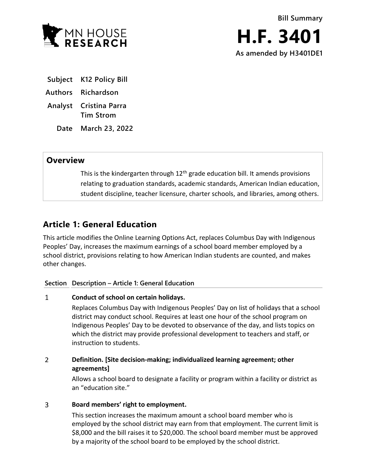

- **Subject K12 Policy Bill**
- **Authors Richardson**
- **Analyst Cristina Parra Tim Strom**
	- **Date March 23, 2022**

# **Overview**

This is the kindergarten through  $12<sup>th</sup>$  grade education bill. It amends provisions relating to graduation standards, academic standards, American Indian education, student discipline, teacher licensure, charter schools, and libraries, among others.

# **Article 1: General Education**

This article modifies the Online Learning Options Act, replaces Columbus Day with Indigenous Peoples' Day, increases the maximum earnings of a school board member employed by a school district, provisions relating to how American Indian students are counted, and makes other changes.

## **Section Description – Article 1: General Education**

#### $\mathbf{1}$ **Conduct of school on certain holidays.**

Replaces Columbus Day with Indigenous Peoples' Day on list of holidays that a school district may conduct school. Requires at least one hour of the school program on Indigenous Peoples' Day to be devoted to observance of the day, and lists topics on which the district may provide professional development to teachers and staff, or instruction to students.

### $\overline{2}$ **Definition. [Site decision-making; individualized learning agreement; other agreements]**

Allows a school board to designate a facility or program within a facility or district as an "education site."

#### $\overline{3}$ **Board members' right to employment.**

This section increases the maximum amount a school board member who is employed by the school district may earn from that employment. The current limit is \$8,000 and the bill raises it to \$20,000. The school board member must be approved by a majority of the school board to be employed by the school district.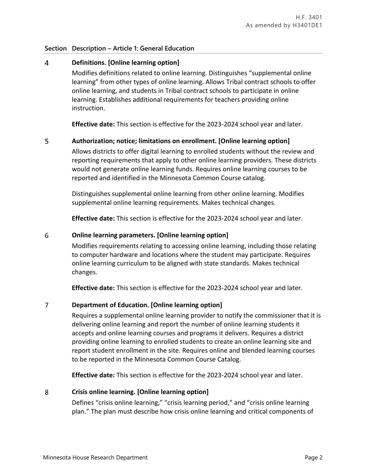## **Section Description – Article 1: General Education**

#### $\overline{4}$ **Definitions. [Online learning option]**

Modifies definitions related to online learning. Distinguishes "supplemental online learning" from other types of online learning. Allows Tribal contract schools to offer online learning, and students in Tribal contract schools to participate in online learning. Establishes additional requirements for teachers providing online instruction.

**Effective date:** This section is effective for the 2023-2024 school year and later.

#### 5 **Authorization; notice; limitations on enrollment. [Online learning option]**

Allows districts to offer digital learning to enrolled students without the review and reporting requirements that apply to other online learning providers. These districts would not generate online learning funds. Requires online learning courses to be reported and identified in the Minnesota Common Course catalog.

Distinguishes supplemental online learning from other online learning. Modifies supplemental online learning requirements. Makes technical changes.

**Effective date:** This section is effective for the 2023-2024 school year and later.

#### 6 **Online learning parameters. [Online learning option]**

Modifies requirements relating to accessing online learning, including those relating to computer hardware and locations where the student may participate. Requires online learning curriculum to be aligned with state standards. Makes technical changes.

**Effective date:** This section is effective for the 2023-2024 school year and later.

#### $\overline{7}$ **Department of Education. [Online learning option]**

Requires a supplemental online learning provider to notify the commissioner that it is delivering online learning and report the number of online learning students it accepts and online learning courses and programs it delivers. Requires a district providing online learning to enrolled students to create an online learning site and report student enrollment in the site. Requires online and blended learning courses to be reported in the Minnesota Common Course Catalog.

**Effective date:** This section is effective for the 2023-2024 school year and later.

#### 8 **Crisis online learning. [Online learning option]**

Defines "crisis online learning," "crisis learning period," and "crisis online learning plan." The plan must describe how crisis online learning and critical components of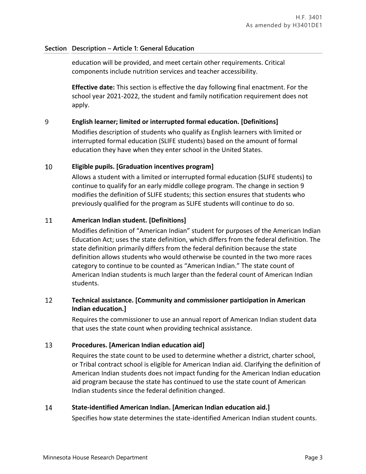## **Section Description – Article 1: General Education**

education will be provided, and meet certain other requirements. Critical components include nutrition services and teacher accessibility.

**Effective date:** This section is effective the day following final enactment. For the school year 2021-2022, the student and family notification requirement does not apply.

#### 9 **English learner; limited or interrupted formal education. [Definitions]**

Modifies description of students who qualify as English learners with limited or interrupted formal education (SLIFE students) based on the amount of formal education they have when they enter school in the United States.

#### 10 **Eligible pupils. [Graduation incentives program]**

Allows a student with a limited or interrupted formal education (SLIFE students) to continue to qualify for an early middle college program. The change in section 9 modifies the definition of SLIFE students; this section ensures that students who previously qualified for the program as SLIFE students will continue to do so.

#### 11 **American Indian student. [Definitions]**

Modifies definition of "American Indian" student for purposes of the American Indian Education Act; uses the state definition, which differs from the federal definition. The state definition primarily differs from the federal definition because the state definition allows students who would otherwise be counted in the two more races category to continue to be counted as "American Indian." The state count of American Indian students is much larger than the federal count of American Indian students.

### 12 **Technical assistance. [Community and commissioner participation in American Indian education.]**

Requires the commissioner to use an annual report of American Indian student data that uses the state count when providing technical assistance.

#### 13 **Procedures. [American Indian education aid]**

Requires the state count to be used to determine whether a district, charter school, or Tribal contract school is eligible for American Indian aid. Clarifying the definition of American Indian students does not impact funding for the American Indian education aid program because the state has continued to use the state count of American Indian students since the federal definition changed.

#### 14 **State-identified American Indian. [American Indian education aid.]**

Specifies how state determines the state-identified American Indian student counts.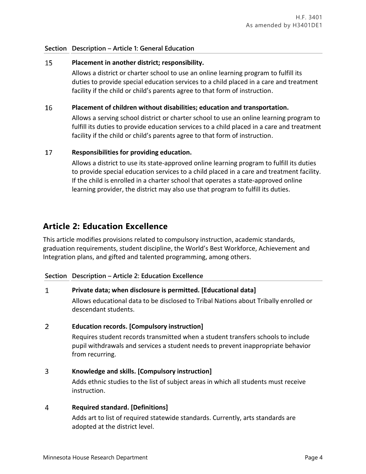## **Section Description – Article 1: General Education**

#### 15 **Placement in another district; responsibility.**

Allows a district or charter school to use an online learning program to fulfill its duties to provide special education services to a child placed in a care and treatment facility if the child or child's parents agree to that form of instruction.

#### 16 **Placement of children without disabilities; education and transportation.**

Allows a serving school district or charter school to use an online learning program to fulfill its duties to provide education services to a child placed in a care and treatment facility if the child or child's parents agree to that form of instruction.

#### 17 **Responsibilities for providing education.**

Allows a district to use its state-approved online learning program to fulfill its duties to provide special education services to a child placed in a care and treatment facility. If the child is enrolled in a charter school that operates a state-approved online learning provider, the district may also use that program to fulfill its duties.

# **Article 2: Education Excellence**

This article modifies provisions related to compulsory instruction, academic standards, graduation requirements, student discipline, the World's Best Workforce, Achievement and Integration plans, and gifted and talented programming, among others.

## **Section Description – Article 2: Education Excellence**

#### $\mathbf{1}$ **Private data; when disclosure is permitted. [Educational data]**

Allows educational data to be disclosed to Tribal Nations about Tribally enrolled or descendant students.

#### $\overline{2}$ **Education records. [Compulsory instruction]**

Requires student records transmitted when a student transfers schools to include pupil withdrawals and services a student needs to prevent inappropriate behavior from recurring.

#### $\overline{3}$ **Knowledge and skills. [Compulsory instruction]**

Adds ethnic studies to the list of subject areas in which all students must receive instruction.

#### 4 **Required standard. [Definitions]**

Adds art to list of required statewide standards. Currently, arts standards are adopted at the district level.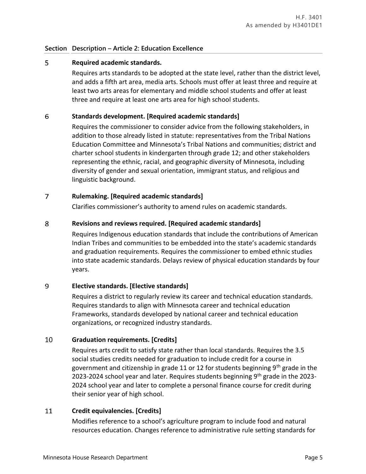#### 5 **Required academic standards.**

Requires arts standards to be adopted at the state level, rather than the district level, and adds a fifth art area, media arts. Schools must offer at least three and require at least two arts areas for elementary and middle school students and offer at least three and require at least one arts area for high school students.

#### 6 **Standards development. [Required academic standards]**

Requires the commissioner to consider advice from the following stakeholders, in addition to those already listed in statute: representatives from the Tribal Nations Education Committee and Minnesota's Tribal Nations and communities; district and charter school students in kindergarten through grade 12; and other stakeholders representing the ethnic, racial, and geographic diversity of Minnesota, including diversity of gender and sexual orientation, immigrant status, and religious and linguistic background.

#### $\overline{7}$ **Rulemaking. [Required academic standards]**

Clarifies commissioner's authority to amend rules on academic standards.

#### 8 **Revisions and reviews required. [Required academic standards]**

Requires Indigenous education standards that include the contributions of American Indian Tribes and communities to be embedded into the state's academic standards and graduation requirements. Requires the commissioner to embed ethnic studies into state academic standards. Delays review of physical education standards by four years.

#### 9 **Elective standards. [Elective standards]**

Requires a district to regularly review its career and technical education standards. Requires standards to align with Minnesota career and technical education Frameworks, standards developed by national career and technical education organizations, or recognized industry standards.

#### $10<sup>°</sup>$ **Graduation requirements. [Credits]**

Requires arts credit to satisfy state rather than local standards. Requires the 3.5 social studies credits needed for graduation to include credit for a course in government and citizenship in grade 11 or 12 for students beginning  $9<sup>th</sup>$  grade in the 2023-2024 school year and later. Requires students beginning 9<sup>th</sup> grade in the 2023-2024 school year and later to complete a personal finance course for credit during their senior year of high school.

#### 11 **Credit equivalencies. [Credits]**

Modifies reference to a school's agriculture program to include food and natural resources education. Changes reference to administrative rule setting standards for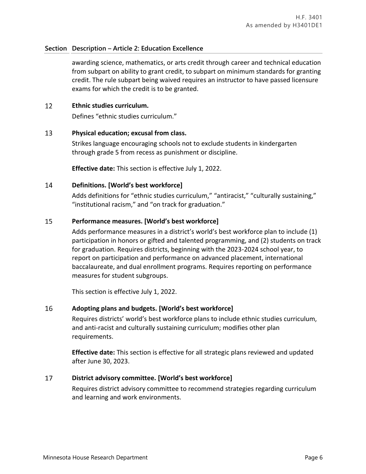awarding science, mathematics, or arts credit through career and technical education from subpart on ability to grant credit, to subpart on minimum standards for granting credit. The rule subpart being waived requires an instructor to have passed licensure exams for which the credit is to be granted.

#### 12 **Ethnic studies curriculum.**

Defines "ethnic studies curriculum."

#### 13 **Physical education; excusal from class.**

Strikes language encouraging schools not to exclude students in kindergarten through grade 5 from recess as punishment or discipline.

**Effective date:** This section is effective July 1, 2022.

#### 14 **Definitions. [World's best workforce]**

Adds definitions for "ethnic studies curriculum," "antiracist," "culturally sustaining," "institutional racism," and "on track for graduation."

#### 15 **Performance measures. [World's best workforce]**

Adds performance measures in a district's world's best workforce plan to include (1) participation in honors or gifted and talented programming, and (2) students on track for graduation. Requires districts, beginning with the 2023-2024 school year, to report on participation and performance on advanced placement, international baccalaureate, and dual enrollment programs. Requires reporting on performance measures for student subgroups.

This section is effective July 1, 2022.

#### 16 **Adopting plans and budgets. [World's best workforce]**

Requires districts' world's best workforce plans to include ethnic studies curriculum, and anti-racist and culturally sustaining curriculum; modifies other plan requirements.

**Effective date:** This section is effective for all strategic plans reviewed and updated after June 30, 2023.

#### 17 **District advisory committee. [World's best workforce]**

Requires district advisory committee to recommend strategies regarding curriculum and learning and work environments.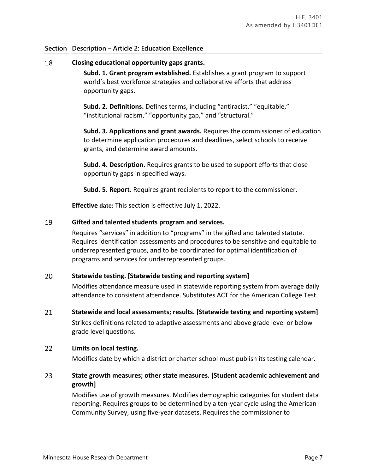18 **Closing educational opportunity gaps grants.**

> **Subd. 1. Grant program established.** Establishes a grant program to support world's best workforce strategies and collaborative efforts that address opportunity gaps.

**Subd. 2. Definitions.** Defines terms, including "antiracist," "equitable," "institutional racism," "opportunity gap," and "structural."

**Subd. 3. Applications and grant awards.** Requires the commissioner of education to determine application procedures and deadlines, select schools to receive grants, and determine award amounts.

**Subd. 4. Description.** Requires grants to be used to support efforts that close opportunity gaps in specified ways.

**Subd. 5. Report.** Requires grant recipients to report to the commissioner.

**Effective date:** This section is effective July 1, 2022.

#### 19 **Gifted and talented students program and services.**

Requires "services" in addition to "programs" in the gifted and talented statute. Requires identification assessments and procedures to be sensitive and equitable to underrepresented groups, and to be coordinated for optimal identification of programs and services for underrepresented groups.

#### 20 **Statewide testing. [Statewide testing and reporting system]**

Modifies attendance measure used in statewide reporting system from average daily attendance to consistent attendance. Substitutes ACT for the American College Test.

#### 21 **Statewide and local assessments; results. [Statewide testing and reporting system]**

Strikes definitions related to adaptive assessments and above grade level or below grade level questions.

#### 22 **Limits on local testing.**

Modifies date by which a district or charter school must publish its testing calendar.

### 23 **State growth measures; other state measures. [Student academic achievement and growth]**

Modifies use of growth measures. Modifies demographic categories for student data reporting. Requires groups to be determined by a ten-year cycle using the American Community Survey, using five-year datasets. Requires the commissioner to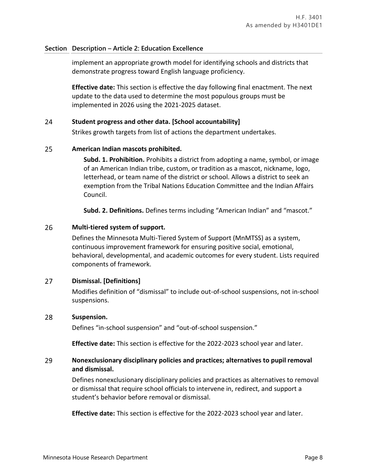implement an appropriate growth model for identifying schools and districts that demonstrate progress toward English language proficiency.

**Effective date:** This section is effective the day following final enactment. The next update to the data used to determine the most populous groups must be implemented in 2026 using the 2021-2025 dataset.

#### 24 **Student progress and other data. [School accountability]**

Strikes growth targets from list of actions the department undertakes.

#### 25 **American Indian mascots prohibited.**

**Subd. 1. Prohibition.** Prohibits a district from adopting a name, symbol, or image of an American Indian tribe, custom, or tradition as a mascot, nickname, logo, letterhead, or team name of the district or school. Allows a district to seek an exemption from the Tribal Nations Education Committee and the Indian Affairs Council.

**Subd. 2. Definitions.** Defines terms including "American Indian" and "mascot."

#### 26 **Multi-tiered system of support.**

Defines the Minnesota Multi-Tiered System of Support (MnMTSS) as a system, continuous improvement framework for ensuring positive social, emotional, behavioral, developmental, and academic outcomes for every student. Lists required components of framework.

#### $27$ **Dismissal. [Definitions]**

Modifies definition of "dismissal" to include out-of-school suspensions, not in-school suspensions.

#### 28 **Suspension.**

Defines "in-school suspension" and "out-of-school suspension."

**Effective date:** This section is effective for the 2022-2023 school year and later.

### 29 **Nonexclusionary disciplinary policies and practices; alternatives to pupil removal and dismissal.**

Defines nonexclusionary disciplinary policies and practices as alternatives to removal or dismissal that require school officials to intervene in, redirect, and support a student's behavior before removal or dismissal.

**Effective date:** This section is effective for the 2022-2023 school year and later.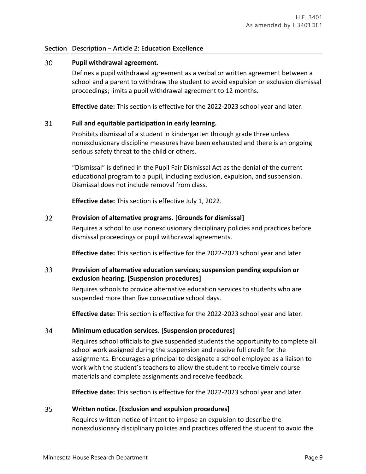#### 30 **Pupil withdrawal agreement.**

Defines a pupil withdrawal agreement as a verbal or written agreement between a school and a parent to withdraw the student to avoid expulsion or exclusion dismissal proceedings; limits a pupil withdrawal agreement to 12 months.

**Effective date:** This section is effective for the 2022-2023 school year and later.

#### 31 **Full and equitable participation in early learning.**

Prohibits dismissal of a student in kindergarten through grade three unless nonexclusionary discipline measures have been exhausted and there is an ongoing serious safety threat to the child or others.

"Dismissal" is defined in the Pupil Fair Dismissal Act as the denial of the current educational program to a pupil, including exclusion, expulsion, and suspension. Dismissal does not include removal from class.

**Effective date:** This section is effective July 1, 2022.

#### $32<sup>2</sup>$ **Provision of alternative programs. [Grounds for dismissal]**

Requires a school to use nonexclusionary disciplinary policies and practices before dismissal proceedings or pupil withdrawal agreements.

**Effective date:** This section is effective for the 2022-2023 school year and later.

### 33 **Provision of alternative education services; suspension pending expulsion or exclusion hearing. [Suspension procedures]**

Requires schools to provide alternative education services to students who are suspended more than five consecutive school days.

**Effective date:** This section is effective for the 2022-2023 school year and later.

#### 34 **Minimum education services. [Suspension procedures]**

Requires school officials to give suspended students the opportunity to complete all school work assigned during the suspension and receive full credit for the assignments. Encourages a principal to designate a school employee as a liaison to work with the student's teachers to allow the student to receive timely course materials and complete assignments and receive feedback.

**Effective date:** This section is effective for the 2022-2023 school year and later.

#### 35 **Written notice. [Exclusion and expulsion procedures]**

Requires written notice of intent to impose an expulsion to describe the nonexclusionary disciplinary policies and practices offered the student to avoid the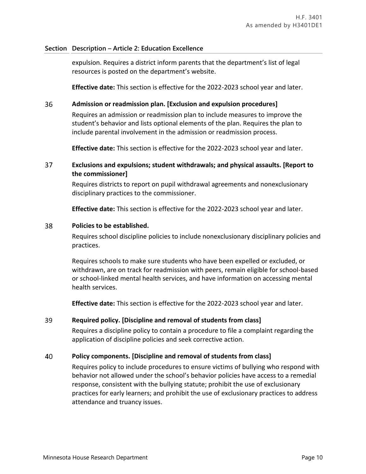expulsion. Requires a district inform parents that the department's list of legal resources is posted on the department's website.

**Effective date:** This section is effective for the 2022-2023 school year and later.

#### 36 **Admission or readmission plan. [Exclusion and expulsion procedures]**

Requires an admission or readmission plan to include measures to improve the student's behavior and lists optional elements of the plan. Requires the plan to include parental involvement in the admission or readmission process.

**Effective date:** This section is effective for the 2022-2023 school year and later.

### 37 **Exclusions and expulsions; student withdrawals; and physical assaults. [Report to the commissioner]**

Requires districts to report on pupil withdrawal agreements and nonexclusionary disciplinary practices to the commissioner.

**Effective date:** This section is effective for the 2022-2023 school year and later.

#### 38 **Policies to be established.**

Requires school discipline policies to include nonexclusionary disciplinary policies and practices.

Requires schools to make sure students who have been expelled or excluded, or withdrawn, are on track for readmission with peers, remain eligible for school-based or school-linked mental health services, and have information on accessing mental health services.

**Effective date:** This section is effective for the 2022-2023 school year and later.

#### 39 **Required policy. [Discipline and removal of students from class]**

Requires a discipline policy to contain a procedure to file a complaint regarding the application of discipline policies and seek corrective action.

#### 40 **Policy components. [Discipline and removal of students from class]**

Requires policy to include procedures to ensure victims of bullying who respond with behavior not allowed under the school's behavior policies have access to a remedial response, consistent with the bullying statute; prohibit the use of exclusionary practices for early learners; and prohibit the use of exclusionary practices to address attendance and truancy issues.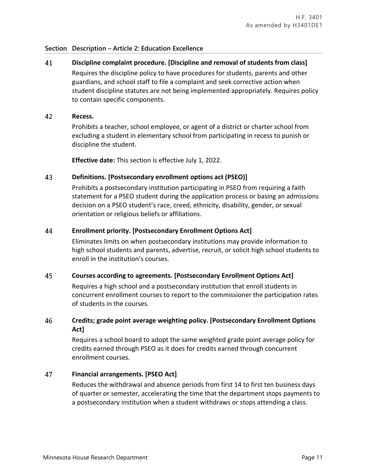41 **Discipline complaint procedure. [Discipline and removal of students from class]** Requires the discipline policy to have procedures for students, parents and other guardians, and school staff to file a complaint and seek corrective action when student discipline statutes are not being implemented appropriately. Requires policy to contain specific components.

#### 42 **Recess.**

Prohibits a teacher, school employee, or agent of a district or charter school from excluding a student in elementary school from participating in recess to punish or discipline the student.

**Effective date:** This section is effective July 1, 2022.

#### 43 **Definitions. [Postsecondary enrollment options act (PSEO)]**

Prohibits a postsecondary institution participating in PSEO from requiring a faith statement for a PSEO student during the application process or basing an admissions decision on a PSEO student's race, creed, ethnicity, disability, gender, or sexual orientation or religious beliefs or affiliations.

#### 44 **Enrollment priority. [Postsecondary Enrollment Options Act]**

Eliminates limits on when postsecondary institutions may provide information to high school students and parents, advertise, recruit, or solicit high school students to enroll in the institution's courses.

#### 45 **Courses according to agreements. [Postsecondary Enrollment Options Act]**

Requires a high school and a postsecondary institution that enroll students in concurrent enrollment courses to report to the commissioner the participation rates of students in the courses.

### 46 **Credits; grade point average weighting policy. [Postsecondary Enrollment Options Act]**

Requires a school board to adopt the same weighted grade point average policy for credits earned through PSEO as it does for credits earned through concurrent enrollment courses.

#### 47 **Financial arrangements. [PSEO Act]**

Reduces the withdrawal and absence periods from first 14 to first ten business days of quarter or semester, accelerating the time that the department stops payments to a postsecondary institution when a student withdraws or stops attending a class.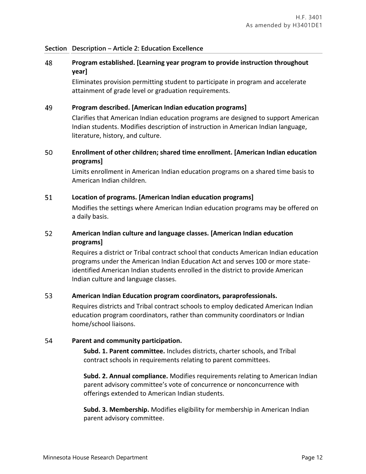### 48 **Program established. [Learning year program to provide instruction throughout year]**

Eliminates provision permitting student to participate in program and accelerate attainment of grade level or graduation requirements.

#### 49 **Program described. [American Indian education programs]**

Clarifies that American Indian education programs are designed to support American Indian students. Modifies description of instruction in American Indian language, literature, history, and culture.

### 50 **Enrollment of other children; shared time enrollment. [American Indian education programs]**

Limits enrollment in American Indian education programs on a shared time basis to American Indian children.

#### 51 **Location of programs. [American Indian education programs]**

Modifies the settings where American Indian education programs may be offered on a daily basis.

### 52 **American Indian culture and language classes. [American Indian education programs]**

Requires a district or Tribal contract school that conducts American Indian education programs under the American Indian Education Act and serves 100 or more stateidentified American Indian students enrolled in the district to provide American Indian culture and language classes.

#### 53 **American Indian Education program coordinators, paraprofessionals.**

Requires districts and Tribal contract schools to employ dedicated American Indian education program coordinators, rather than community coordinators or Indian home/school liaisons.

#### 54 **Parent and community participation.**

**Subd. 1. Parent committee.** Includes districts, charter schools, and Tribal contract schools in requirements relating to parent committees.

**Subd. 2. Annual compliance.** Modifies requirements relating to American Indian parent advisory committee's vote of concurrence or nonconcurrence with offerings extended to American Indian students.

**Subd. 3. Membership.** Modifies eligibility for membership in American Indian parent advisory committee.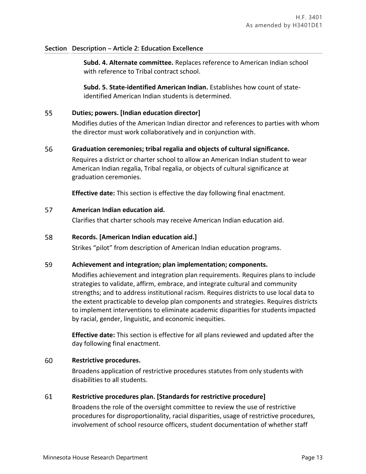**Subd. 4. Alternate committee.** Replaces reference to American Indian school with reference to Tribal contract school.

**Subd. 5. State-identified American Indian.** Establishes how count of stateidentified American Indian students is determined.

#### 55 **Duties; powers. [Indian education director]**

Modifies duties of the American Indian director and references to parties with whom the director must work collaboratively and in conjunction with.

#### 56 **Graduation ceremonies; tribal regalia and objects of cultural significance.**

Requires a district or charter school to allow an American Indian student to wear American Indian regalia, Tribal regalia, or objects of cultural significance at graduation ceremonies.

**Effective date:** This section is effective the day following final enactment.

#### 57 **American Indian education aid.**

Clarifies that charter schools may receive American Indian education aid.

#### 58 **Records. [American Indian education aid.]**

Strikes "pilot" from description of American Indian education programs.

#### 59 **Achievement and integration; plan implementation; components.**

Modifies achievement and integration plan requirements. Requires plans to include strategies to validate, affirm, embrace, and integrate cultural and community strengths; and to address institutional racism. Requires districts to use local data to the extent practicable to develop plan components and strategies. Requires districts to implement interventions to eliminate academic disparities for students impacted by racial, gender, linguistic, and economic inequities.

**Effective date:** This section is effective for all plans reviewed and updated after the day following final enactment.

#### 60 **Restrictive procedures.**

Broadens application of restrictive procedures statutes from only students with disabilities to all students.

#### 61 **Restrictive procedures plan. [Standards for restrictive procedure]**

Broadens the role of the oversight committee to review the use of restrictive procedures for disproportionality, racial disparities, usage of restrictive procedures, involvement of school resource officers, student documentation of whether staff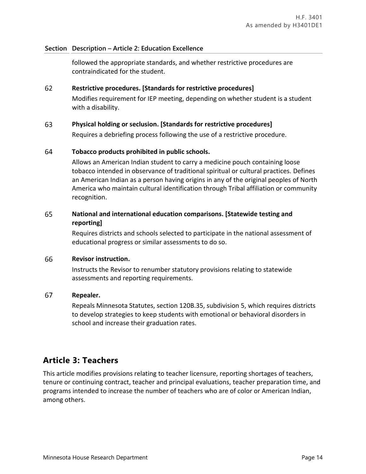followed the appropriate standards, and whether restrictive procedures are contraindicated for the student.

#### 62 **Restrictive procedures. [Standards for restrictive procedures]**

Modifies requirement for IEP meeting, depending on whether student is a student with a disability.

#### **Physical holding or seclusion. [Standards for restrictive procedures]** 63

Requires a debriefing process following the use of a restrictive procedure.

#### 64 **Tobacco products prohibited in public schools.**

Allows an American Indian student to carry a medicine pouch containing loose tobacco intended in observance of traditional spiritual or cultural practices. Defines an American Indian as a person having origins in any of the original peoples of North America who maintain cultural identification through Tribal affiliation or community recognition.

### 65 **National and international education comparisons. [Statewide testing and reporting]**

Requires districts and schools selected to participate in the national assessment of educational progress or similar assessments to do so.

#### 66 **Revisor instruction.**

Instructs the Revisor to renumber statutory provisions relating to statewide assessments and reporting requirements.

#### 67 **Repealer.**

Repeals Minnesota Statutes, section 120B.35, subdivision 5, which requires districts to develop strategies to keep students with emotional or behavioral disorders in school and increase their graduation rates.

# **Article 3: Teachers**

This article modifies provisions relating to teacher licensure, reporting shortages of teachers, tenure or continuing contract, teacher and principal evaluations, teacher preparation time, and programs intended to increase the number of teachers who are of color or American Indian, among others.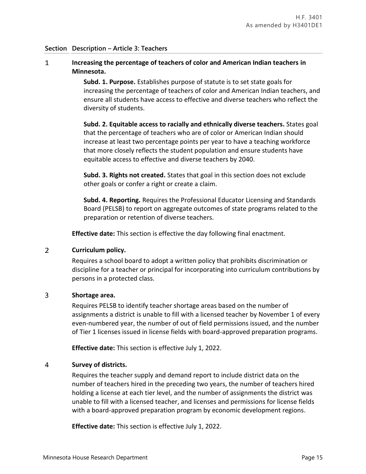### **Increasing the percentage of teachers of color and American Indian teachers in**   $\mathbf{1}$ **Minnesota.**

**Subd. 1. Purpose.** Establishes purpose of statute is to set state goals for increasing the percentage of teachers of color and American Indian teachers, and ensure all students have access to effective and diverse teachers who reflect the diversity of students.

**Subd. 2. Equitable access to racially and ethnically diverse teachers.** States goal that the percentage of teachers who are of color or American Indian should increase at least two percentage points per year to have a teaching workforce that more closely reflects the student population and ensure students have equitable access to effective and diverse teachers by 2040.

**Subd. 3. Rights not created.** States that goal in this section does not exclude other goals or confer a right or create a claim.

**Subd. 4. Reporting.** Requires the Professional Educator Licensing and Standards Board (PELSB) to report on aggregate outcomes of state programs related to the preparation or retention of diverse teachers.

**Effective date:** This section is effective the day following final enactment.

#### $2<sup>1</sup>$ **Curriculum policy.**

Requires a school board to adopt a written policy that prohibits discrimination or discipline for a teacher or principal for incorporating into curriculum contributions by persons in a protected class.

#### 3 **Shortage area.**

Requires PELSB to identify teacher shortage areas based on the number of assignments a district is unable to fill with a licensed teacher by November 1 of every even-numbered year, the number of out of field permissions issued, and the number of Tier 1 licenses issued in license fields with board-approved preparation programs.

**Effective date:** This section is effective July 1, 2022.

#### $\overline{4}$ **Survey of districts.**

Requires the teacher supply and demand report to include district data on the number of teachers hired in the preceding two years, the number of teachers hired holding a license at each tier level, and the number of assignments the district was unable to fill with a licensed teacher, and licenses and permissions for license fields with a board-approved preparation program by economic development regions.

**Effective date:** This section is effective July 1, 2022.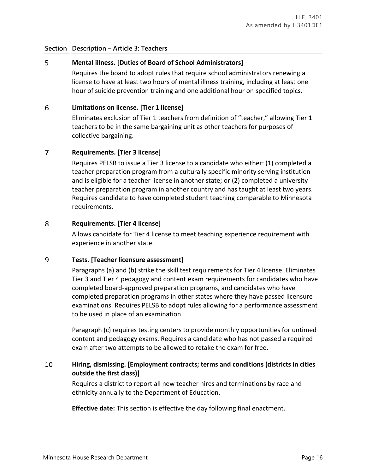#### 5 **Mental illness. [Duties of Board of School Administrators]**

Requires the board to adopt rules that require school administrators renewing a license to have at least two hours of mental illness training, including at least one hour of suicide prevention training and one additional hour on specified topics.

#### 6 **Limitations on license. [Tier 1 license]**

Eliminates exclusion of Tier 1 teachers from definition of "teacher," allowing Tier 1 teachers to be in the same bargaining unit as other teachers for purposes of collective bargaining.

#### $\overline{7}$ **Requirements. [Tier 3 license]**

Requires PELSB to issue a Tier 3 license to a candidate who either: (1) completed a teacher preparation program from a culturally specific minority serving institution and is eligible for a teacher license in another state; or (2) completed a university teacher preparation program in another country and has taught at least two years. Requires candidate to have completed student teaching comparable to Minnesota requirements.

#### 8 **Requirements. [Tier 4 license]**

Allows candidate for Tier 4 license to meet teaching experience requirement with experience in another state.

#### 9 **Tests. [Teacher licensure assessment]**

Paragraphs (a) and (b) strike the skill test requirements for Tier 4 license. Eliminates Tier 3 and Tier 4 pedagogy and content exam requirements for candidates who have completed board-approved preparation programs, and candidates who have completed preparation programs in other states where they have passed licensure examinations. Requires PELSB to adopt rules allowing for a performance assessment to be used in place of an examination.

Paragraph (c) requires testing centers to provide monthly opportunities for untimed content and pedagogy exams. Requires a candidate who has not passed a required exam after two attempts to be allowed to retake the exam for free.

### 10 **Hiring, dismissing. [Employment contracts; terms and conditions (districts in cities outside the first class)]**

Requires a district to report all new teacher hires and terminations by race and ethnicity annually to the Department of Education.

**Effective date:** This section is effective the day following final enactment.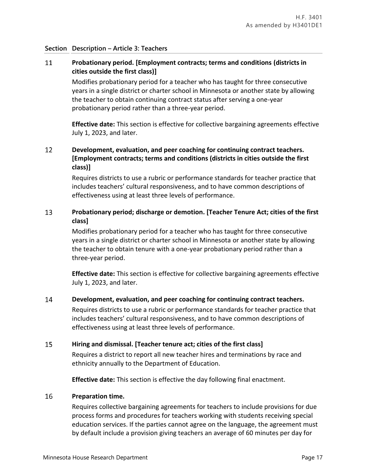### 11 **Probationary period. [Employment contracts; terms and conditions (districts in cities outside the first class)]**

Modifies probationary period for a teacher who has taught for three consecutive years in a single district or charter school in Minnesota or another state by allowing the teacher to obtain continuing contract status after serving a one-year probationary period rather than a three-year period.

**Effective date:** This section is effective for collective bargaining agreements effective July 1, 2023, and later.

### 12 **Development, evaluation, and peer coaching for continuing contract teachers. [Employment contracts; terms and conditions (districts in cities outside the first class)]**

Requires districts to use a rubric or performance standards for teacher practice that includes teachers' cultural responsiveness, and to have common descriptions of effectiveness using at least three levels of performance.

### 13 **Probationary period; discharge or demotion. [Teacher Tenure Act; cities of the first class]**

Modifies probationary period for a teacher who has taught for three consecutive years in a single district or charter school in Minnesota or another state by allowing the teacher to obtain tenure with a one-year probationary period rather than a three-year period.

**Effective date:** This section is effective for collective bargaining agreements effective July 1, 2023, and later.

#### 14 **Development, evaluation, and peer coaching for continuing contract teachers.**

Requires districts to use a rubric or performance standards for teacher practice that includes teachers' cultural responsiveness, and to have common descriptions of effectiveness using at least three levels of performance.

#### 15 **Hiring and dismissal. [Teacher tenure act; cities of the first class]**

Requires a district to report all new teacher hires and terminations by race and ethnicity annually to the Department of Education.

**Effective date:** This section is effective the day following final enactment.

#### 16 **Preparation time.**

Requires collective bargaining agreements for teachers to include provisions for due process forms and procedures for teachers working with students receiving special education services. If the parties cannot agree on the language, the agreement must by default include a provision giving teachers an average of 60 minutes per day for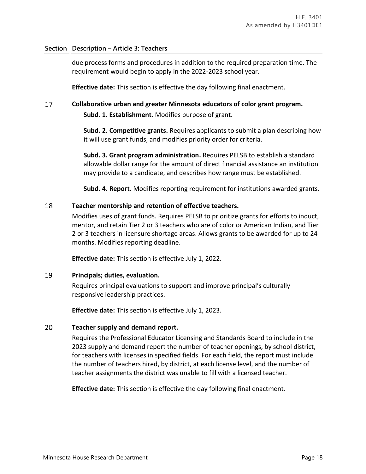due process forms and procedures in addition to the required preparation time. The requirement would begin to apply in the 2022-2023 school year.

**Effective date:** This section is effective the day following final enactment.

#### 17 **Collaborative urban and greater Minnesota educators of color grant program.**

**Subd. 1. Establishment.** Modifies purpose of grant.

**Subd. 2. Competitive grants.** Requires applicants to submit a plan describing how it will use grant funds, and modifies priority order for criteria.

**Subd. 3. Grant program administration.** Requires PELSB to establish a standard allowable dollar range for the amount of direct financial assistance an institution may provide to a candidate, and describes how range must be established.

**Subd. 4. Report.** Modifies reporting requirement for institutions awarded grants.

#### 18 **Teacher mentorship and retention of effective teachers.**

Modifies uses of grant funds. Requires PELSB to prioritize grants for efforts to induct, mentor, and retain Tier 2 or 3 teachers who are of color or American Indian, and Tier 2 or 3 teachers in licensure shortage areas. Allows grants to be awarded for up to 24 months. Modifies reporting deadline.

**Effective date:** This section is effective July 1, 2022.

#### 19 **Principals; duties, evaluation.**

Requires principal evaluations to support and improve principal's culturally responsive leadership practices.

**Effective date:** This section is effective July 1, 2023.

#### $20<sub>1</sub>$ **Teacher supply and demand report.**

Requires the Professional Educator Licensing and Standards Board to include in the 2023 supply and demand report the number of teacher openings, by school district, for teachers with licenses in specified fields. For each field, the report must include the number of teachers hired, by district, at each license level, and the number of teacher assignments the district was unable to fill with a licensed teacher.

**Effective date:** This section is effective the day following final enactment.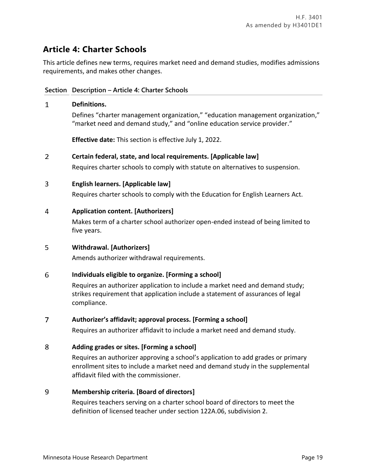# **Article 4: Charter Schools**

This article defines new terms, requires market need and demand studies, modifies admissions requirements, and makes other changes.

## **Section Description – Article 4: Charter Schools**

### $\mathbf{1}$ **Definitions.**

Defines "charter management organization," "education management organization," "market need and demand study," and "online education service provider."

**Effective date:** This section is effective July 1, 2022.

#### $\overline{2}$ **Certain federal, state, and local requirements. [Applicable law]**

Requires charter schools to comply with statute on alternatives to suspension.

#### 3 **English learners. [Applicable law]**

Requires charter schools to comply with the Education for English Learners Act.

#### 4 **Application content. [Authorizers]**

Makes term of a charter school authorizer open-ended instead of being limited to five years.

#### 5 **Withdrawal. [Authorizers]**

Amends authorizer withdrawal requirements.

#### 6 **Individuals eligible to organize. [Forming a school]**

Requires an authorizer application to include a market need and demand study; strikes requirement that application include a statement of assurances of legal compliance.

#### $\overline{7}$ **Authorizer's affidavit; approval process. [Forming a school]**

Requires an authorizer affidavit to include a market need and demand study.

#### 8 **Adding grades or sites. [Forming a school]**

Requires an authorizer approving a school's application to add grades or primary enrollment sites to include a market need and demand study in the supplemental affidavit filed with the commissioner.

#### 9 **Membership criteria. [Board of directors]**

Requires teachers serving on a charter school board of directors to meet the definition of licensed teacher under section 122A.06, subdivision 2.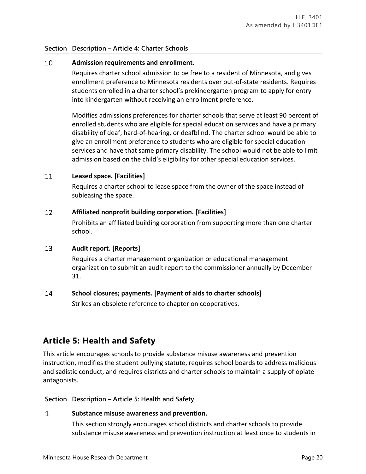### **Section Description – Article 4: Charter Schools**

#### $10<sup>°</sup>$ **Admission requirements and enrollment.**

Requires charter school admission to be free to a resident of Minnesota, and gives enrollment preference to Minnesota residents over out-of-state residents. Requires students enrolled in a charter school's prekindergarten program to apply for entry into kindergarten without receiving an enrollment preference.

Modifies admissions preferences for charter schools that serve at least 90 percent of enrolled students who are eligible for special education services and have a primary disability of deaf, hard-of-hearing, or deafblind. The charter school would be able to give an enrollment preference to students who are eligible for special education services and have that same primary disability. The school would not be able to limit admission based on the child's eligibility for other special education services.

#### 11 **Leased space. [Facilities]**

Requires a charter school to lease space from the owner of the space instead of subleasing the space.

#### 12 **Affiliated nonprofit building corporation. [Facilities]**

Prohibits an affiliated building corporation from supporting more than one charter school.

#### $13$ **Audit report. [Reports]**

Requires a charter management organization or educational management organization to submit an audit report to the commissioner annually by December 31.

#### 14 **School closures; payments. [Payment of aids to charter schools]**

Strikes an obsolete reference to chapter on cooperatives.

# **Article 5: Health and Safety**

This article encourages schools to provide substance misuse awareness and prevention instruction, modifies the student bullying statute, requires school boards to address malicious and sadistic conduct, and requires districts and charter schools to maintain a supply of opiate antagonists.

### **Section Description – Article 5: Health and Safety**

#### $\mathbf{1}$ **Substance misuse awareness and prevention.**

This section strongly encourages school districts and charter schools to provide substance misuse awareness and prevention instruction at least once to students in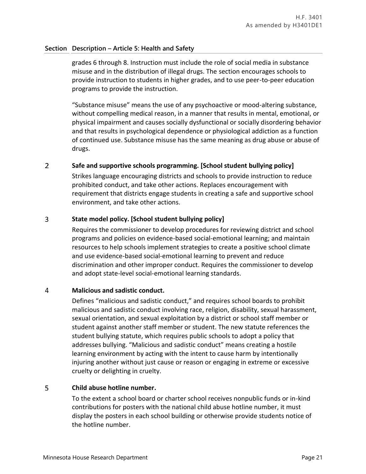## **Section Description – Article 5: Health and Safety**

grades 6 through 8. Instruction must include the role of social media in substance misuse and in the distribution of illegal drugs. The section encourages schools to provide instruction to students in higher grades, and to use peer-to-peer education programs to provide the instruction.

"Substance misuse" means the use of any psychoactive or mood-altering substance, without compelling medical reason, in a manner that results in mental, emotional, or physical impairment and causes socially dysfunctional or socially disordering behavior and that results in psychological dependence or physiological addiction as a function of continued use. Substance misuse has the same meaning as drug abuse or abuse of drugs.

#### $\overline{2}$ **Safe and supportive schools programming. [School student bullying policy]**

Strikes language encouraging districts and schools to provide instruction to reduce prohibited conduct, and take other actions. Replaces encouragement with requirement that districts engage students in creating a safe and supportive school environment, and take other actions.

#### 3 **State model policy. [School student bullying policy]**

Requires the commissioner to develop procedures for reviewing district and school programs and policies on evidence-based social-emotional learning; and maintain resources to help schools implement strategies to create a positive school climate and use evidence-based social-emotional learning to prevent and reduce discrimination and other improper conduct. Requires the commissioner to develop and adopt state-level social-emotional learning standards.

#### 4 **Malicious and sadistic conduct.**

Defines "malicious and sadistic conduct," and requires school boards to prohibit malicious and sadistic conduct involving race, religion, disability, sexual harassment, sexual orientation, and sexual exploitation by a district or school staff member or student against another staff member or student. The new statute references the student bullying statute, which requires public schools to adopt a policy that addresses bullying. "Malicious and sadistic conduct" means creating a hostile learning environment by acting with the intent to cause harm by intentionally injuring another without just cause or reason or engaging in extreme or excessive cruelty or delighting in cruelty.

#### 5 **Child abuse hotline number.**

To the extent a school board or charter school receives nonpublic funds or in-kind contributions for posters with the national child abuse hotline number, it must display the posters in each school building or otherwise provide students notice of the hotline number.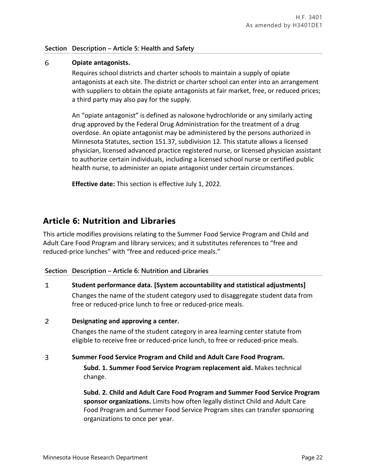## **Section Description – Article 5: Health and Safety**

#### 6 **Opiate antagonists.**

Requires school districts and charter schools to maintain a supply of opiate antagonists at each site. The district or charter school can enter into an arrangement with suppliers to obtain the opiate antagonists at fair market, free, or reduced prices; a third party may also pay for the supply.

An "opiate antagonist" is defined as naloxone hydrochloride or any similarly acting drug approved by the Federal Drug Administration for the treatment of a drug overdose. An opiate antagonist may be administered by the persons authorized in Minnesota Statutes, section 151.37, subdivision 12. This statute allows a licensed physician, licensed advanced practice registered nurse, or licensed physician assistant to authorize certain individuals, including a licensed school nurse or certified public health nurse, to administer an opiate antagonist under certain circumstances.

**Effective date:** This section is effective July 1, 2022.

# **Article 6: Nutrition and Libraries**

This article modifies provisions relating to the Summer Food Service Program and Child and Adult Care Food Program and library services; and it substitutes references to "free and reduced-price lunches" with "free and reduced-price meals."

## **Section Description – Article 6: Nutrition and Libraries**

 $\mathbf{1}$ **Student performance data. [System accountability and statistical adjustments]** Changes the name of the student category used to disaggregate student data from

#### $\overline{2}$ **Designating and approving a center.**

Changes the name of the student category in area learning center statute from eligible to receive free or reduced-price lunch, to free or reduced-price meals.

#### 3 **Summer Food Service Program and Child and Adult Care Food Program.**

free or reduced-price lunch to free or reduced-price meals.

**Subd. 1. Summer Food Service Program replacement aid.** Makes technical change.

**Subd. 2. Child and Adult Care Food Program and Summer Food Service Program sponsor organizations.** Limits how often legally distinct Child and Adult Care Food Program and Summer Food Service Program sites can transfer sponsoring organizations to once per year.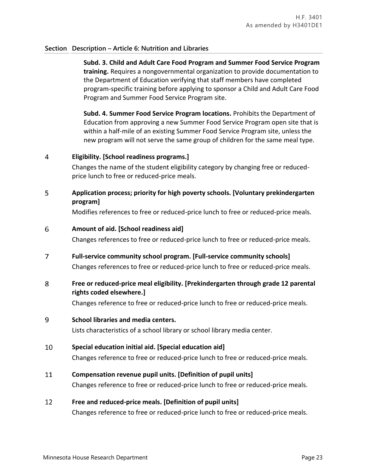## **Section Description – Article 6: Nutrition and Libraries**

**Subd. 3. Child and Adult Care Food Program and Summer Food Service Program training.** Requires a nongovernmental organization to provide documentation to the Department of Education verifying that staff members have completed program-specific training before applying to sponsor a Child and Adult Care Food Program and Summer Food Service Program site.

**Subd. 4. Summer Food Service Program locations.** Prohibits the Department of Education from approving a new Summer Food Service Program open site that is within a half-mile of an existing Summer Food Service Program site, unless the new program will not serve the same group of children for the same meal type.

#### $\overline{4}$ **Eligibility. [School readiness programs.]**

Changes the name of the student eligibility category by changing free or reducedprice lunch to free or reduced-price meals.

### 5 **Application process; priority for high poverty schools. [Voluntary prekindergarten program]**

Modifies references to free or reduced-price lunch to free or reduced-price meals.

#### 6 **Amount of aid. [School readiness aid]**

Changes references to free or reduced-price lunch to free or reduced-price meals.

#### $\overline{7}$ **Full-service community school program. [Full-service community schools]**

Changes references to free or reduced-price lunch to free or reduced-price meals.

### 8 **Free or reduced-price meal eligibility. [Prekindergarten through grade 12 parental rights coded elsewhere.]**

Changes reference to free or reduced-price lunch to free or reduced-price meals.

#### 9 **School libraries and media centers.**

Lists characteristics of a school library or school library media center.

#### 10 **Special education initial aid. [Special education aid]**

Changes reference to free or reduced-price lunch to free or reduced-price meals.

#### 11 **Compensation revenue pupil units. [Definition of pupil units]**

Changes reference to free or reduced-price lunch to free or reduced-price meals.

#### $12<sup>12</sup>$ **Free and reduced-price meals. [Definition of pupil units]**

Changes reference to free or reduced-price lunch to free or reduced-price meals.